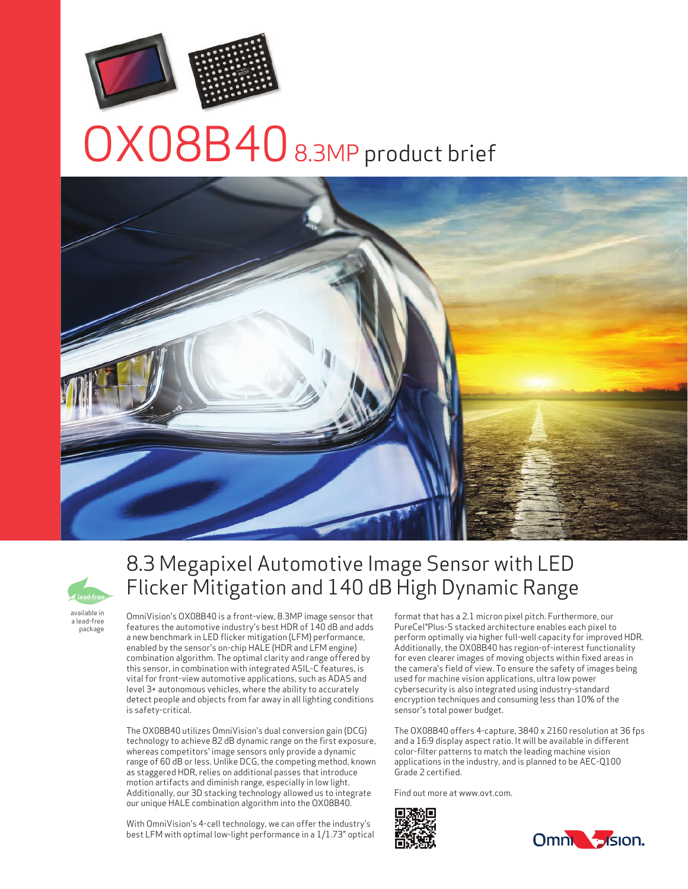

# OX08B40 8.3MP product brief





8.3 Megapixel Automotive Image Sensor with LED Flicker Mitigation and 140 dB High Dynamic Range

available in a lead-free package

OmniVision's OX08B40 is a front-view, 8.3MP image sensor that features the automotive industry's best HDR of 140 dB and adds a new benchmark in LED flicker mitigation (LFM) performance, enabled by the sensor's on-chip HALE (HDR and LFM engine) combination algorithm. The optimal clarity and range offered by this sensor, in combination with integrated ASIL-C features, is vital for front-view automotive applications, such as ADAS and level 3+ autonomous vehicles, where the ability to accurately detect people and objects from far away in all lighting conditions is safety-critical.

The OX08B40 utilizes OmniVision's dual conversion gain (DCG) technology to achieve 82 dB dynamic range on the first exposure, whereas competitors' image sensors only provide a dynamic range of 60 dB or less. Unlike DCG, the competing method, known as staggered HDR, relies on additional passes that introduce motion artifacts and diminish range, especially in low light. Additionally, our 3D stacking technology allowed us to integrate our unique HALE combination algorithm into the OX08B40.

With OmniVision's 4-cell technology, we can offer the industry's best LFM with optimal low-light performance in a 1/1.73" optical format that has a 2.1 micron pixel pitch. Furthermore, our PureCel®Plus-S stacked architecture enables each pixel to perform optimally via higher full-well capacity for improved HDR. Additionally, the OX08B40 has region-of-interest functionality for even clearer images of moving objects within fixed areas in the camera's field of view. To ensure the safety of images being used for machine vision applications, ultra low power cybersecurity is also integrated using industry-standard encryption techniques and consuming less than 10% of the sensor's total power budget.

The OX08B40 offers 4-capture, 3840 x 2160 resolution at 36 fps and a 16:9 display aspect ratio. It will be available in different color-filter patterns to match the leading machine vision applications in the industry, and is planned to be AEC-Q100 Grade 2 certified.

Find out more at www.ovt.com.